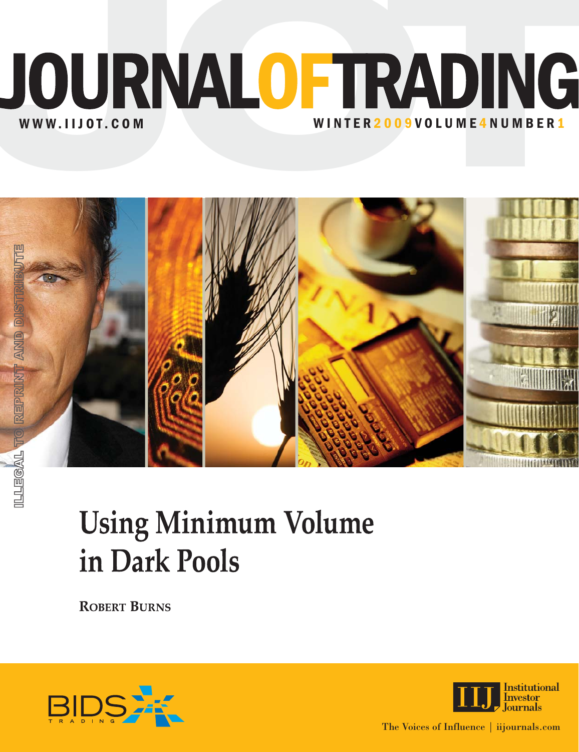# **JOURNALOFTRADING**



# **Using Minimum Volume** in Dark Pools

**ROBERT BURNS** 





The Voices of Influence | iijournals.com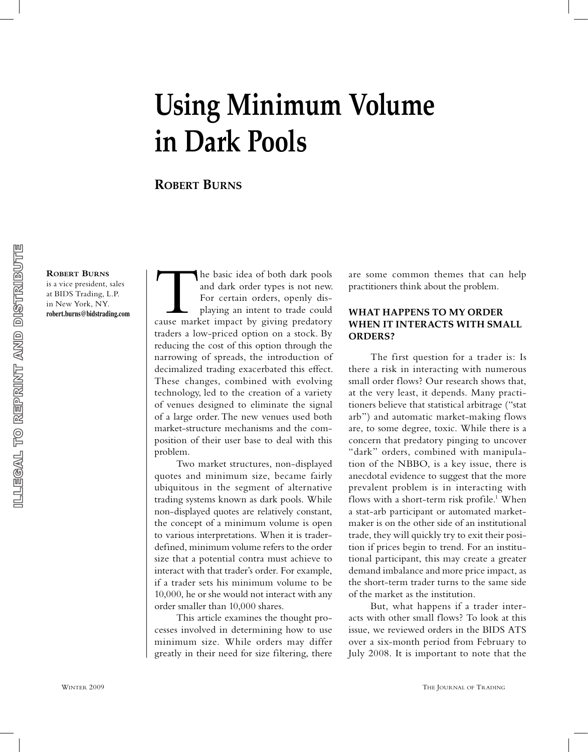## **Using Minimum Volume in Dark Pools**

### **Robert Burns**

**Robert Burns**

is a vice president, sales at BIDS Trading, L.P. in New York, NY. **robert.burns@bidstrading.com**

The basic idea of both dark pools<br>
and dark order types is not new.<br>
For certain orders, openly dis-<br>
playing an intent to trade could<br>
cause market impact by giving predatory and dark order types is not new. For certain orders, openly displaying an intent to trade could traders a low-priced option on a stock. By reducing the cost of this option through the narrowing of spreads, the introduction of decimalized trading exacerbated this effect. These changes, combined with evolving technology, led to the creation of a variety of venues designed to eliminate the signal of a large order. The new venues used both market-structure mechanisms and the composition of their user base to deal with this problem.

Two market structures, non-displayed quotes and minimum size, became fairly ubiquitous in the segment of alternative trading systems known as dark pools. While non-displayed quotes are relatively constant, the concept of a minimum volume is open to various interpretations. When it is traderdefined, minimum volume refers to the order size that a potential contra must achieve to interact with that trader's order. For example, if a trader sets his minimum volume to be 10,000, he or she would not interact with any order smaller than 10,000 shares.

This article examines the thought processes involved in determining how to use minimum size. While orders may differ greatly in their need for size filtering, there

are some common themes that can help practitioners think about the problem.

#### **What Happens to my Order when it Interacts with Small ORDERS?**

The first question for a trader is: Is there a risk in interacting with numerous small order flows? Our research shows that, at the very least, it depends. Many practitioners believe that statistical arbitrage ("stat arb") and automatic market-making flows are, to some degree, toxic. While there is a concern that predatory pinging to uncover "dark" orders, combined with manipulation of the NBBO, is a key issue, there is anecdotal evidence to suggest that the more prevalent problem is in interacting with flows with a short-term risk profile.<sup>1</sup> When a stat-arb participant or automated marketmaker is on the other side of an institutional trade, they will quickly try to exit their position if prices begin to trend. For an institutional participant, this may create a greater demand imbalance and more price impact, as the short-term trader turns to the same side of the market as the institution.

But, what happens if a trader interacts with other small flows? To look at this issue, we reviewed orders in the BIDS ATS over a six-month period from February to July 2008. It is important to note that the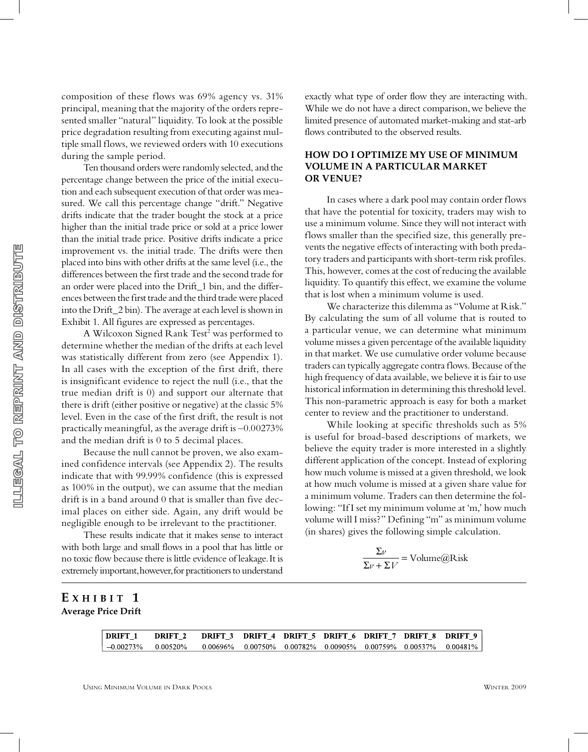composition of these flows was 69% agency vs. 31% principal, meaning that the majority of the orders represented smaller "natural" liquidity. To look at the possible price degradation resulting from executing against multiple small flows, we reviewed orders with 10 executions during the sample period.

Ten thousand orders were randomly selected, and the percentage change between the price of the initial execution and each subsequent execution of that order was measured. We call this percentage change "drift." Negative drifts indicate that the trader bought the stock at a price higher than the initial trade price or sold at a price lower than the initial trade price. Positive drifts indicate a price improvement vs. the initial trade. The drifts were then placed into bins with other drifts at the same level (i.e., the differences between the first trade and the second trade for an order were placed into the Drift\_1 bin, and the differences between the first trade and the third trade were placed into the Drift\_2 bin). The average at each level is shown in Exhibit 1. All figures are expressed as percentages.

A Wilcoxon Signed Rank Test<sup>2</sup> was performed to determine whether the median of the drifts at each level was statistically different from zero (see Appendix 1). In all cases with the exception of the first drift, there is insignificant evidence to reject the null (i.e., that the true median drift is 0) and support our alternate that there is drift (either positive or negative) at the classic 5% level. Even in the case of the first drift, the result is not practically meaningful, as the average drift is –0.00273% and the median drift is 0 to 5 decimal places.

Because the null cannot be proven, we also examined confidence intervals (see Appendix 2). The results indicate that with 99.99% confidence (this is expressed as 100% in the output), we can assume that the median drift is in a band around 0 that is smaller than five decimal places on either side. Again, any drift would be negligible enough to be irrelevant to the practitioner.

These results indicate that it makes sense to interact with both large and small flows in a pool that has little or no toxic flow because there is little evidence of leakage. It is extremely important, however, for practitioners to understand

exactly what type of order flow they are interacting with. While we do not have a direct comparison, we believe the limited presence of automated market-making and stat-arb flows contributed to the observed results.

#### **How do I Optimize my Use of Minimum Volume in a Particular Market or Venue?**

In cases where a dark pool may contain order flows that have the potential for toxicity, traders may wish to use a minimum volume. Since they will not interact with flows smaller than the specified size, this generally prevents the negative effects of interacting with both predatory traders and participants with short-term risk profiles. This, however, comes at the cost of reducing the available liquidity. To quantify this effect, we examine the volume that is lost when a minimum volume is used.

We characterize this dilemma as "Volume at Risk." By calculating the sum of all volume that is routed to a particular venue, we can determine what minimum volume misses a given percentage of the available liquidity in that market. We use cumulative order volume because traders can typically aggregate contra flows. Because of the high frequency of data available, we believe it is fair to use historical information in determining this threshold level. This non-parametric approach is easy for both a market center to review and the practitioner to understand.

While looking at specific thresholds such as 5% is useful for broad-based descriptions of markets, we believe the equity trader is more interested in a slightly different application of the concept. Instead of exploring how much volume is missed at a given threshold, we look at how much volume is missed at a given share value for a minimum volume. Traders can then determine the following: "If I set my minimum volume at 'm,' how much volume will I miss?" Defining "m" as minimum volume (in shares) gives the following simple calculation.

$$
\frac{\Sigma \nu}{\Sigma \nu + \Sigma V} = \text{Volume@Risk}
$$

#### **E x H I B** I **T Average Price Drift**

DRIFT\_4 **DRIFT 1 DRIFT 2 DRIFT 3** DRIFT\_5 DRIFT\_6 DRIFT\_7 DRIFT\_8 DRIFT<sub>9</sub>  $0.00750\% \quad 0.00782\% \quad 0.00905\% \quad 0.00759\% \quad 0.00537\%$  $-0.00273%$ 0.00520% 0.00696% 0.00481%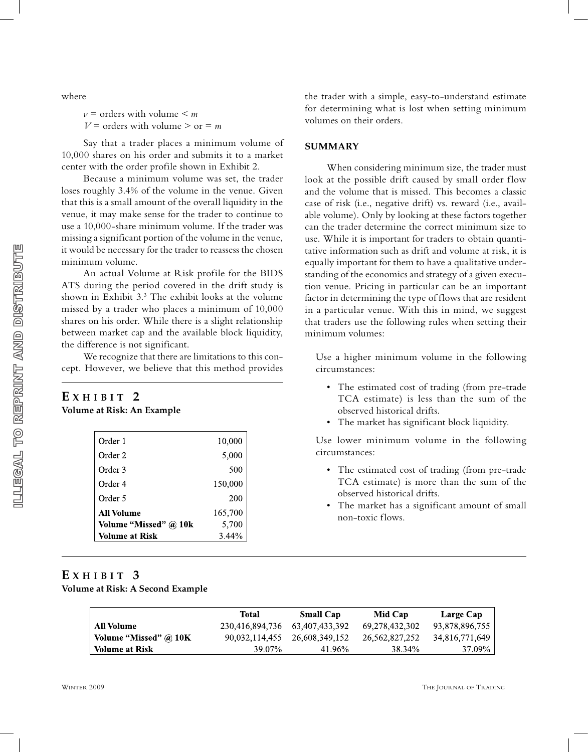where

*v* = orders with volume < *m V* = orders with volume  $>$  or = *m* 

Say that a trader places a minimum volume of 10,000 shares on his order and submits it to a market center with the order profile shown in Exhibit 2.

Because a minimum volume was set, the trader loses roughly 3.4% of the volume in the venue. Given that this is a small amount of the overall liquidity in the venue, it may make sense for the trader to continue to use a 10,000-share minimum volume. If the trader was missing a significant portion of the volume in the venue, it would be necessary for the trader to reassess the chosen minimum volume.

An actual Volume at Risk profile for the BIDS ATS during the period covered in the drift study is shown in Exhibit 3.3 The exhibit looks at the volume missed by a trader who places a minimum of 10,000 shares on his order. While there is a slight relationship between market cap and the available block liquidity, the difference is not significant.

We recognize that there are limitations to this concept. However, we believe that this method provides

#### **EXHIBIT 2 Volume at Risk: An Example**

| Order 1               | 10,000   |
|-----------------------|----------|
| Order 2               | 5,000    |
| Order 3               | 500      |
| Order 4               | 150,000  |
| Order 5               | 200      |
| <b>All Volume</b>     | 165,700  |
| Volume "Missed" @ 10k | 5,700    |
| Volume at Risk        | $3.44\%$ |
|                       |          |

## **E x h i b i t 3**

#### **Volume at Risk: A Second Example**

the trader with a simple, easy-to-understand estimate for determining what is lost when setting minimum volumes on their orders.

#### **Summary**

When considering minimum size, the trader must look at the possible drift caused by small order flow and the volume that is missed. This becomes a classic case of risk (i.e., negative drift) vs. reward (i.e., available volume). Only by looking at these factors together can the trader determine the correct minimum size to use. While it is important for traders to obtain quantitative information such as drift and volume at risk, it is equally important for them to have a qualitative understanding of the economics and strategy of a given execution venue. Pricing in particular can be an important factor in determining the type of flows that are resident in a particular venue. With this in mind, we suggest that traders use the following rules when setting their minimum volumes:

Use a higher minimum volume in the following circumstances:

- The estimated cost of trading (from pre-trade TCA estimate) is less than the sum of the observed historical drifts.
- The market has significant block liquidity.

Use lower minimum volume in the following circumstances:

- The estimated cost of trading (from pre-trade TCA estimate) is more than the sum of the observed historical drifts.
- The market has a significant amount of small non-toxic flows.

|                       | Total           | <b>Small Cap</b> | Mid Cap        | Large Cap      |
|-----------------------|-----------------|------------------|----------------|----------------|
| All Volume            | 230.416.894.736 | 63.407.433.392   | 69,278,432,302 | 93,878,896,755 |
| Volume "Missed" @ 10K | 90,032,114,455  | 26.608.349.152   | 26.562.827.252 | 34,816,771,649 |
| <b>Volume at Risk</b> | 39.07%          | 41.96%           | 38.34%         | 37.09%         |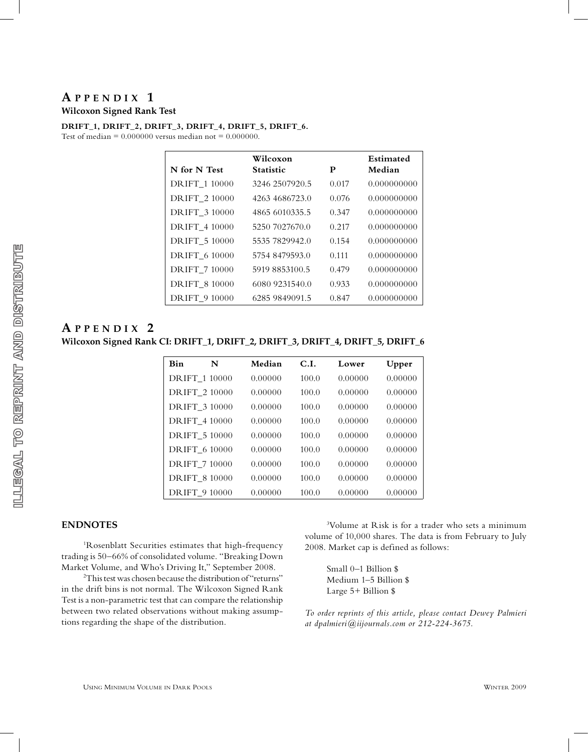#### **A p p e n d i x 1 Wilcoxon Signed Rank Test**

**DRIFT\_1, DRIFT\_2, DRIFT\_3, DRIFT\_4, DRIFT\_5, DRIFT\_6.** Test of median  $= 0.000000$  versus median not  $= 0.000000$ .

| N for N Test         | Wilcoxon<br><b>Statistic</b> | P     | Estimated<br>Median |
|----------------------|------------------------------|-------|---------------------|
| <b>DRIFT 1 10000</b> | 3246 2507920.5               | 0.017 | 0.000000000         |
| <b>DRIFT 2 10000</b> | 4263 4686723.0               | 0.076 | 0.000000000         |
| <b>DRIFT 3 10000</b> | 4865 6010335.5               | 0.347 | 0.000000000         |
| <b>DRIFT 4 10000</b> | 5250 7027670.0               | 0.217 | 0.000000000         |
| <b>DRIFT 5 10000</b> | 5535 7829942.0               | 0.154 | 0.000000000         |
| <b>DRIFT 6 10000</b> | 5754 8479593.0               | 0.111 | 0.000000000         |
| <b>DRIFT 7 10000</b> | 5919 8853100.5               | 0.479 | 0.000000000         |
| <b>DRIFT 8 10000</b> | 6080 9231540.0               | 0.933 | 0.000000000         |
| <b>DRIFT 9 10000</b> | 6285 9849091.5               | 0.847 | 0.000000000         |
|                      |                              |       |                     |

#### **A p p e n d i x 2 Wilcoxon Signed Rank CI: DRIFT\_1, DRIFT\_2, DRIFT\_3, DRIFT\_4, DRIFT\_5, DRIFT\_6**

| Bin                  | N | Median  | C.L.  | Lower   | Upper   |
|----------------------|---|---------|-------|---------|---------|
| DRIFT_1 10000        |   | 0.00000 | 100.0 | 0.00000 | 0.00000 |
| <b>DRIFT 2 10000</b> |   | 0.00000 | 100.0 | 0.00000 | 0.00000 |
| <b>DRIFT 3 10000</b> |   | 0.00000 | 100.0 | 0.00000 | 0.00000 |
| <b>DRIFT 4 10000</b> |   | 0.00000 | 100.0 | 0.00000 | 0.00000 |
| DRIFT_5 10000        |   | 0.00000 | 100.0 | 0.00000 | 0.00000 |
| <b>DRIFT 6 10000</b> |   | 0.00000 | 100.0 | 0.00000 | 0.00000 |
| <b>DRIFT 7 10000</b> |   | 0.00000 | 100.0 | 0.00000 | 0.00000 |
| <b>DRIFT_8 10000</b> |   | 0.00000 | 100.0 | 0.00000 | 0.00000 |
| <b>DRIFT 9 10000</b> |   | 0.00000 | 100.0 | 0.00000 | 0.00000 |

#### **ENDNOTES**

1 Rosenblatt Securities estimates that high-frequency trading is 50–66% of consolidated volume. "Breaking Down Market Volume, and Who's Driving It," September 2008.

2 This test was chosen because the distribution of "returns" in the drift bins is not normal. The Wilcoxon Signed Rank Test is a non-parametric test that can compare the relationship between two related observations without making assumptions regarding the shape of the distribution.

3 Volume at Risk is for a trader who sets a minimum volume of 10,000 shares. The data is from February to July 2008. Market cap is defined as follows:

> Small 0–1 Billion \$ Medium 1–5 Billion \$ Large 5+ Billion \$

*To order reprints of this article, please contact Dewey Palmieri at dpalmieri@iijournals.com or 212-224-3675.*